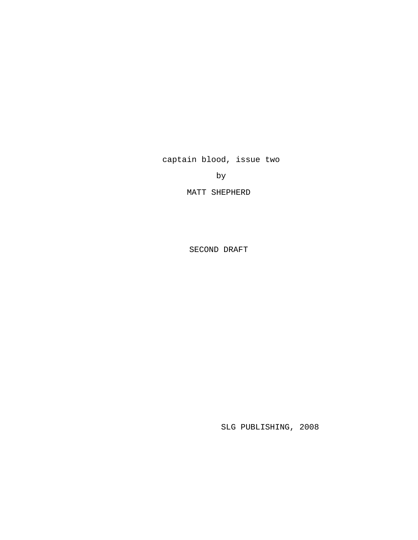captain blood, issue two

by

MATT SHEPHERD

SECOND DRAFT

SLG PUBLISHING, 2008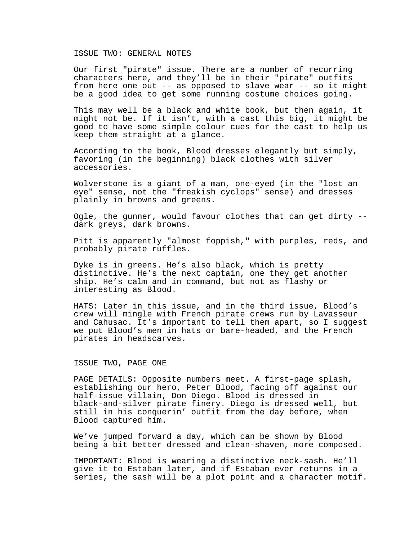#### ISSUE TWO: GENERAL NOTES

Our first "pirate" issue. There are a number of recurring characters here, and they'll be in their "pirate" outfits from here one out -- as opposed to slave wear -- so it might be a good idea to get some running costume choices going.

This may well be a black and white book, but then again, it might not be. If it isn't, with a cast this big, it might be good to have some simple colour cues for the cast to help us keep them straight at a glance.

According to the book, Blood dresses elegantly but simply, favoring (in the beginning) black clothes with silver accessories.

Wolverstone is a giant of a man, one-eyed (in the "lost an eye" sense, not the "freakish cyclops" sense) and dresses plainly in browns and greens.

Ogle, the gunner, would favour clothes that can get dirty - dark greys, dark browns.

Pitt is apparently "almost foppish," with purples, reds, and probably pirate ruffles.

Dyke is in greens. He's also black, which is pretty distinctive. He's the next captain, one they get another ship. He's calm and in command, but not as flashy or interesting as Blood.

HATS: Later in this issue, and in the third issue, Blood's crew will mingle with French pirate crews run by Lavasseur and Cahusac. It's important to tell them apart, so I suggest we put Blood's men in hats or bare-headed, and the French pirates in headscarves.

## ISSUE TWO, PAGE ONE

PAGE DETAILS: Opposite numbers meet. A first-page splash, establishing our hero, Peter Blood, facing off against our half-issue villain, Don Diego. Blood is dressed in black-and-silver pirate finery. Diego is dressed well, but still in his conquerin' outfit from the day before, when Blood captured him.

We've jumped forward a day, which can be shown by Blood being a bit better dressed and clean-shaven, more composed.

IMPORTANT: Blood is wearing a distinctive neck-sash. He'll give it to Estaban later, and if Estaban ever returns in a series, the sash will be a plot point and a character motif.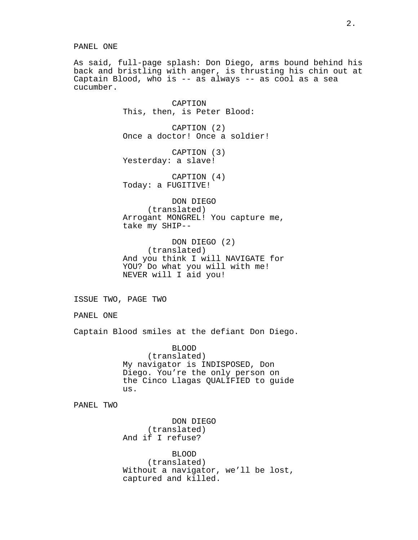PANEL ONE

As said, full-page splash: Don Diego, arms bound behind his back and bristling with anger, is thrusting his chin out at Captain Blood, who is -- as always -- as cool as a sea cucumber.

CAPTION This, then, is Peter Blood: CAPTION (2) Once a doctor! Once a soldier! CAPTION (3) Yesterday: a slave! CAPTION (4) Today: a FUGITIVE! DON DIEGO (translated) Arrogant MONGREL! You capture me, take my SHIP-- DON DIEGO (2) (translated) And you think I will NAVIGATE for YOU? Do what you will with me! NEVER will I aid you! ISSUE TWO, PAGE TWO PANEL ONE

Captain Blood smiles at the defiant Don Diego.

BLOOD (translated) My navigator is INDISPOSED, Don Diego. You're the only person on the Cinco Llagas QUALIFIED to guide us.

PANEL TWO

DON DIEGO (translated) And if I refuse?

BLOOD (translated) Without a navigator, we'll be lost, captured and killed.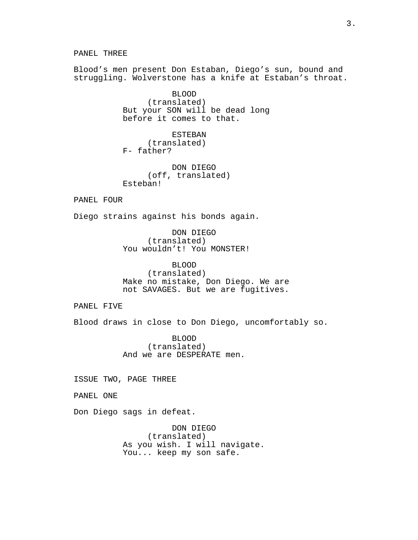PANEL THREE Blood's men present Don Estaban, Diego's sun, bound and struggling. Wolverstone has a knife at Estaban's throat. BLOOD (translated) But your SON will be dead long before it comes to that. ESTEBAN (translated) F- father? DON DIEGO (off, translated) Esteban! PANEL FOUR Diego strains against his bonds again. DON DIEGO (translated) You wouldn't! You MONSTER! BLOOD (translated) Make no mistake, Don Diego. We are not SAVAGES. But we are fugitives. PANEL FIVE Blood draws in close to Don Diego, uncomfortably so.

> BLOOD (translated) And we are DESPERATE men.

ISSUE TWO, PAGE THREE

PANEL ONE

Don Diego sags in defeat.

DON DIEGO (translated) As you wish. I will navigate. You... keep my son safe.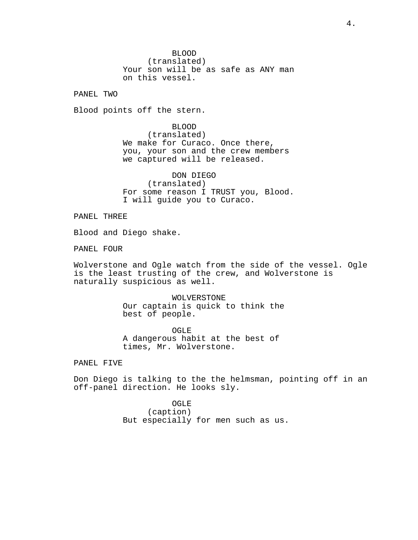BLOOD (translated) Your son will be as safe as ANY man on this vessel.

PANEL TWO

Blood points off the stern.

BLOOD (translated) We make for Curaco. Once there, you, your son and the crew members we captured will be released.

DON DIEGO (translated) For some reason I TRUST you, Blood. I will guide you to Curaco.

PANEL THREE

Blood and Diego shake.

PANEL FOUR

Wolverstone and Ogle watch from the side of the vessel. Ogle is the least trusting of the crew, and Wolverstone is naturally suspicious as well.

> WOLVERSTONE Our captain is quick to think the best of people.

OGLE A dangerous habit at the best of times, Mr. Wolverstone.

PANEL FIVE

Don Diego is talking to the the helmsman, pointing off in an off-panel direction. He looks sly.

> OGLE (caption) But especially for men such as us.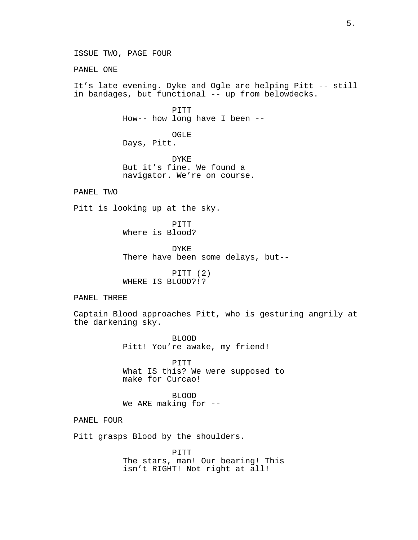ISSUE TWO, PAGE FOUR PANEL ONE It's late evening. Dyke and Ogle are helping Pitt -- still in bandages, but functional -- up from belowdecks. PITT How-- how long have I been -- OGLE Days, Pitt. DYKE But it's fine. We found a navigator. We're on course. PANEL TWO Pitt is looking up at the sky. PITT Where is Blood? DYKE There have been some delays, but-- PITT (2) WHERE IS BLOOD?!? PANEL THREE Captain Blood approaches Pitt, who is gesturing angrily at the darkening sky. BLOOD Pitt! You're awake, my friend! PITT What IS this? We were supposed to make for Curcao! BLOOD We ARE making for --PANEL FOUR Pitt grasps Blood by the shoulders. PITT The stars, man! Our bearing! This isn't RIGHT! Not right at all!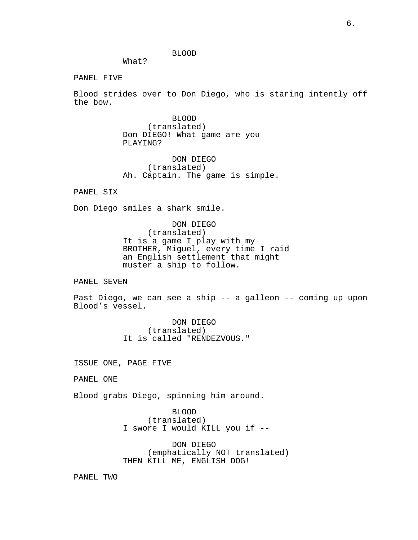BLOOD

What?

PANEL FIVE

Blood strides over to Don Diego, who is staring intently off the bow.

> BLOOD (translated) Don DIEGO! What game are you PLAYING?

DON DIEGO (translated) Ah. Captain. The game is simple.

PANEL SIX

Don Diego smiles a shark smile.

DON DIEGO (translated) It is a game I play with my BROTHER, Miguel, every time I raid an English settlement that might muster a ship to follow.

PANEL SEVEN

Past Diego, we can see a ship -- a galleon -- coming up upon Blood's vessel.

> DON DIEGO (translated) It is called "RENDEZVOUS."

ISSUE ONE, PAGE FIVE

PANEL ONE

Blood grabs Diego, spinning him around.

BLOOD (translated) I swore I would KILL you if --

DON DIEGO (emphatically NOT translated) THEN KILL ME, ENGLISH DOG!

PANEL TWO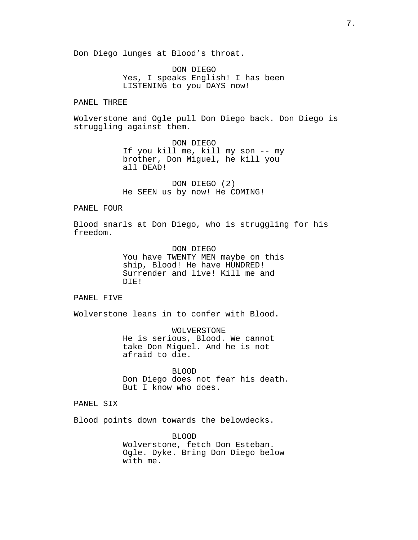Don Diego lunges at Blood's throat.

DON DIEGO Yes, I speaks English! I has been LISTENING to you DAYS now!

#### PANEL THREE

Wolverstone and Ogle pull Don Diego back. Don Diego is struggling against them.

> DON DIEGO If you kill me, kill my son -- my brother, Don Miguel, he kill you all DEAD!

DON DIEGO (2) He SEEN us by now! He COMING!

# PANEL FOUR

Blood snarls at Don Diego, who is struggling for his freedom.

> DON DIEGO You have TWENTY MEN maybe on this ship, Blood! He have HUNDRED! Surrender and live! Kill me and DIE!

# PANEL FIVE

Wolverstone leans in to confer with Blood.

WOLVERSTONE He is serious, Blood. We cannot take Don Miguel. And he is not afraid to die.

BLOOD Don Diego does not fear his death. But I know who does.

# PANEL SIX

Blood points down towards the belowdecks.

BLOOD Wolverstone, fetch Don Esteban. Ogle. Dyke. Bring Don Diego below with me.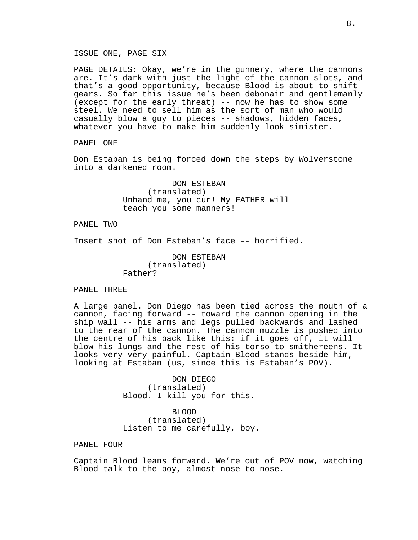ISSUE ONE, PAGE SIX

PAGE DETAILS: Okay, we're in the gunnery, where the cannons are. It's dark with just the light of the cannon slots, and that's a good opportunity, because Blood is about to shift gears. So far this issue he's been debonair and gentlemanly (except for the early threat) -- now he has to show some steel. We need to sell him as the sort of man who would casually blow a guy to pieces -- shadows, hidden faces, whatever you have to make him suddenly look sinister.

PANEL ONE

Don Estaban is being forced down the steps by Wolverstone into a darkened room.

> DON ESTEBAN (translated) Unhand me, you cur! My FATHER will teach you some manners!

PANEL TWO

Insert shot of Don Esteban's face -- horrified.

DON ESTEBAN (translated) Father?

PANEL THREE

A large panel. Don Diego has been tied across the mouth of a cannon, facing forward -- toward the cannon opening in the ship wall -- his arms and legs pulled backwards and lashed to the rear of the cannon. The cannon muzzle is pushed into the centre of his back like this: if it goes off, it will blow his lungs and the rest of his torso to smithereens. It looks very very painful. Captain Blood stands beside him, looking at Estaban (us, since this is Estaban's POV).

> DON DIEGO (translated) Blood. I kill you for this.

BLOOD (translated) Listen to me carefully, boy.

PANEL FOUR

Captain Blood leans forward. We're out of POV now, watching Blood talk to the boy, almost nose to nose.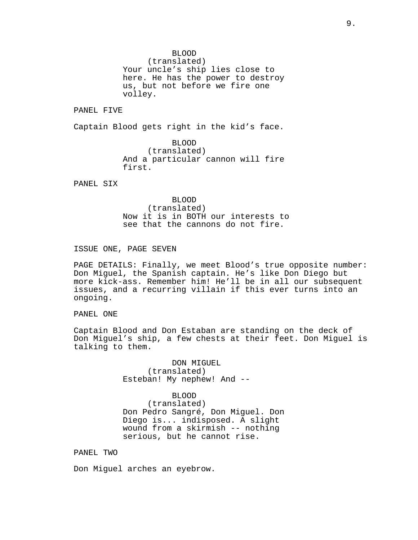BLOOD

(translated) Your uncle's ship lies close to here. He has the power to destroy us, but not before we fire one volley.

PANEL FIVE

Captain Blood gets right in the kid's face.

BLOOD (translated) And a particular cannon will fire first.

PANEL SIX

BLOOD (translated) Now it is in BOTH our interests to see that the cannons do not fire.

ISSUE ONE, PAGE SEVEN

PAGE DETAILS: Finally, we meet Blood's true opposite number: Don Miguel, the Spanish captain. He's like Don Diego but more kick-ass. Remember him! He'll be in all our subsequent issues, and a recurring villain if this ever turns into an ongoing.

PANEL ONE

Captain Blood and Don Estaban are standing on the deck of Don Miguel's ship, a few chests at their feet. Don Miguel is talking to them.

> DON MIGUEL (translated) Esteban! My nephew! And --

BLOOD (translated) Don Pedro Sangré, Don Miguel. Don Diego is... indisposed. A slight wound from a skirmish -- nothing serious, but he cannot rise.

PANEL TWO

Don Miguel arches an eyebrow.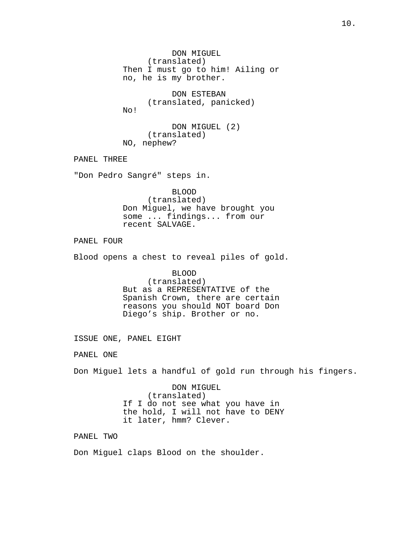DON MIGUEL (translated) Then I must go to him! Ailing or no, he is my brother. DON ESTEBAN (translated, panicked) No! DON MIGUEL (2) (translated) NO, nephew? PANEL THREE "Don Pedro Sangré" steps in. BLOOD (translated) Don Miguel, we have brought you some ... findings... from our recent SALVAGE. PANEL FOUR Blood opens a chest to reveal piles of gold. BLOOD (translated) But as a REPRESENTATIVE of the Spanish Crown, there are certain reasons you should NOT board Don Diego's ship. Brother or no. ISSUE ONE, PANEL EIGHT PANEL ONE Don Miguel lets a handful of gold run through his fingers. DON MIGUEL (translated) If I do not see what you have in the hold, I will not have to DENY it later, hmm? Clever. PANEL TWO Don Miguel claps Blood on the shoulder.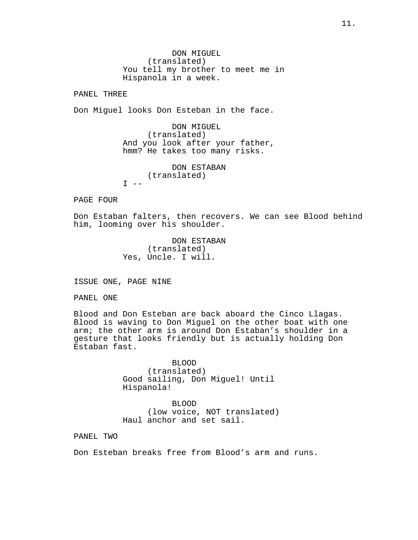DON MIGUEL (translated) You tell my brother to meet me in Hispanola in a week.

PANEL THREE

Don Miguel looks Don Esteban in the face.

DON MIGUEL (translated) And you look after your father, hmm? He takes too many risks.

DON ESTABAN (translated)  $T = -$ 

PAGE FOUR

Don Estaban falters, then recovers. We can see Blood behind him, looming over his shoulder.

> DON ESTABAN (translated) Yes, Uncle. I will.

ISSUE ONE, PAGE NINE

PANEL ONE

Blood and Don Esteban are back aboard the Cinco Llagas. Blood is waving to Don Miguel on the other boat with one arm; the other arm is around Don Estaban's shoulder in a gesture that looks friendly but is actually holding Don Estaban fast.

> BLOOD (translated) Good sailing, Don Miguel! Until Hispanola!

BLOOD (low voice, NOT translated) Haul anchor and set sail.

PANEL TWO

Don Esteban breaks free from Blood's arm and runs.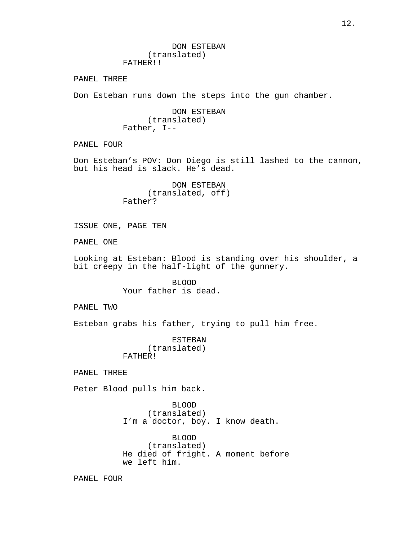DON ESTEBAN (translated) FATHER!!

PANEL THREE

Don Esteban runs down the steps into the gun chamber.

DON ESTEBAN (translated) Father, I--

PANEL FOUR

Don Esteban's POV: Don Diego is still lashed to the cannon, but his head is slack. He's dead.

> DON ESTEBAN (translated, off) Father?

ISSUE ONE, PAGE TEN

PANEL ONE

Looking at Esteban: Blood is standing over his shoulder, a bit creepy in the half-light of the gunnery.

> BLOOD Your father is dead.

PANEL TWO

Esteban grabs his father, trying to pull him free.

ESTEBAN (translated) FATHER!

PANEL THREE

Peter Blood pulls him back.

BLOOD (translated) I'm a doctor, boy. I know death.

BLOOD (translated) He died of fright. A moment before we left him.

PANEL FOUR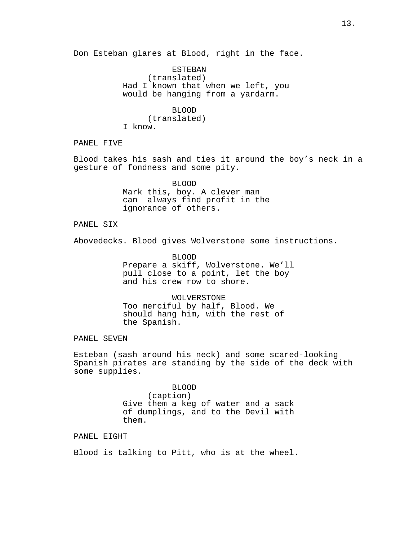ESTEBAN (translated) Had I known that when we left, you would be hanging from a yardarm.

> BLOOD (translated)

I know.

PANEL FIVE

Blood takes his sash and ties it around the boy's neck in a gesture of fondness and some pity.

> BLOOD Mark this, boy. A clever man can always find profit in the ignorance of others.

PANEL SIX

Abovedecks. Blood gives Wolverstone some instructions.

BLOOD Prepare a skiff, Wolverstone. We'll pull close to a point, let the boy and his crew row to shore.

WOLVERSTONE Too merciful by half, Blood. We should hang him, with the rest of the Spanish.

PANEL SEVEN

Esteban (sash around his neck) and some scared-looking Spanish pirates are standing by the side of the deck with some supplies.

> BLOOD (caption) Give them a keg of water and a sack of dumplings, and to the Devil with them.

PANEL EIGHT

Blood is talking to Pitt, who is at the wheel.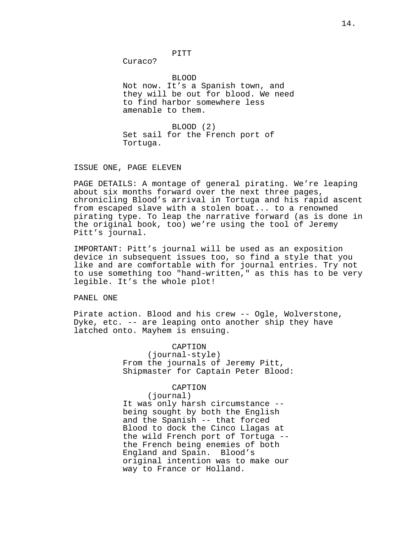PITT

Curaco?

BLOOD Not now. It's a Spanish town, and they will be out for blood. We need to find harbor somewhere less amenable to them.

BLOOD (2) Set sail for the French port of Tortuga.

ISSUE ONE, PAGE ELEVEN

PAGE DETAILS: A montage of general pirating. We're leaping about six months forward over the next three pages, chronicling Blood's arrival in Tortuga and his rapid ascent from escaped slave with a stolen boat... to a renowned pirating type. To leap the narrative forward (as is done in the original book, too) we're using the tool of Jeremy Pitt's journal.

IMPORTANT: Pitt's journal will be used as an exposition device in subsequent issues too, so find a style that you like and are comfortable with for journal entries. Try not to use something too "hand-written," as this has to be very legible. It's the whole plot!

PANEL ONE

Pirate action. Blood and his crew -- Ogle, Wolverstone, Dyke, etc. -- are leaping onto another ship they have latched onto. Mayhem is ensuing.

> CAPTION (journal-style) From the journals of Jeremy Pitt, Shipmaster for Captain Peter Blood:

## CAPTION

(journal) It was only harsh circumstance - being sought by both the English and the Spanish -- that forced Blood to dock the Cinco Llagas at the wild French port of Tortuga - the French being enemies of both England and Spain. Blood's original intention was to make our way to France or Holland.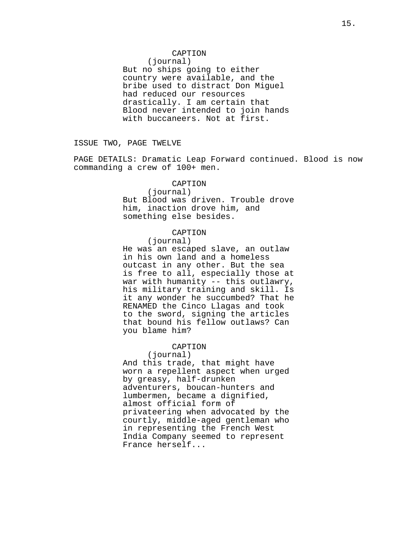# CAPTION

(journal) But no ships going to either

country were available, and the bribe used to distract Don Miguel had reduced our resources drastically. I am certain that Blood never intended to join hands with buccaneers. Not at first.

ISSUE TWO, PAGE TWELVE

PAGE DETAILS: Dramatic Leap Forward continued. Blood is now commanding a crew of 100+ men.

# CAPTION

(journal) But Blood was driven. Trouble drove him, inaction drove him, and something else besides.

# CAPTION

(journal)

He was an escaped slave, an outlaw in his own land and a homeless outcast in any other. But the sea is free to all, especially those at war with humanity -- this outlawry, his military training and skill. Is it any wonder he succumbed? That he RENAMED the Cinco Llagas and took to the sword, signing the articles that bound his fellow outlaws? Can you blame him?

# CAPTION

(journal) And this trade, that might have worn a repellent aspect when urged by greasy, half-drunken adventurers, boucan-hunters and lumbermen, became a dignified, almost official form of privateering when advocated by the courtly, middle-aged gentleman who in representing the French West India Company seemed to represent France herself...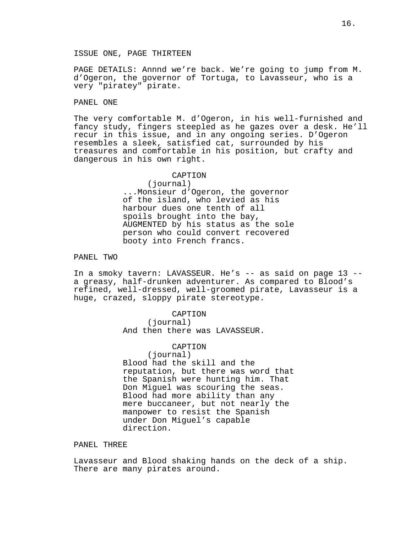ISSUE ONE, PAGE THIRTEEN

PAGE DETAILS: Annnd we're back. We're going to jump from M. d'Ogeron, the governor of Tortuga, to Lavasseur, who is a very "piratey" pirate.

# PANEL ONE

The very comfortable M. d'Ogeron, in his well-furnished and fancy study, fingers steepled as he gazes over a desk. He'll recur in this issue, and in any ongoing series. D'Ogeron resembles a sleek, satisfied cat, surrounded by his treasures and comfortable in his position, but crafty and dangerous in his own right.

> CAPTION (journal) ...Monsieur d'Ogeron, the governor of the island, who levied as his harbour dues one tenth of all spoils brought into the bay, AUGMENTED by his status as the sole person who could convert recovered booty into French francs.

PANEL TWO

In a smoky tavern: LAVASSEUR. He's -- as said on page 13 - a greasy, half-drunken adventurer. As compared to Blood's refined, well-dressed, well-groomed pirate, Lavasseur is a huge, crazed, sloppy pirate stereotype.

> CAPTION (journal) And then there was LAVASSEUR.

#### CAPTION

(journal) Blood had the skill and the reputation, but there was word that the Spanish were hunting him. That Don Miguel was scouring the seas. Blood had more ability than any mere buccaneer, but not nearly the manpower to resist the Spanish under Don Miguel's capable direction.

### PANEL THREE

Lavasseur and Blood shaking hands on the deck of a ship. There are many pirates around.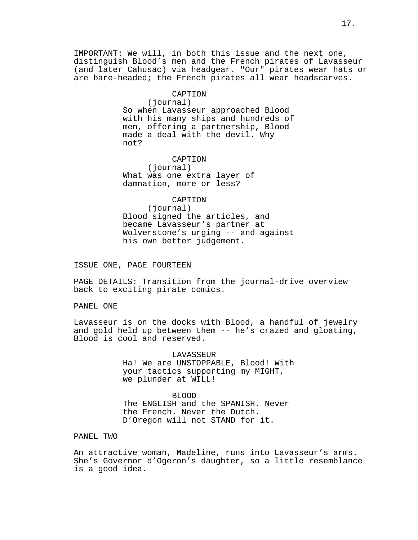IMPORTANT: We will, in both this issue and the next one, distinguish Blood's men and the French pirates of Lavasseur (and later Cahusac) via headgear. "Our" pirates wear hats or are bare-headed; the French pirates all wear headscarves.

> CAPTION (journal) So when Lavasseur approached Blood with his many ships and hundreds of men, offering a partnership, Blood made a deal with the devil. Why not?

CAPTION (journal) What was one extra layer of damnation, more or less?

#### CAPTION

(journal) Blood signed the articles, and became Lavasseur's partner at Wolverstone's urging -- and against his own better judgement.

ISSUE ONE, PAGE FOURTEEN

PAGE DETAILS: Transition from the journal-drive overview back to exciting pirate comics.

PANEL ONE

Lavasseur is on the docks with Blood, a handful of jewelry and gold held up between them -- he's crazed and gloating, Blood is cool and reserved.

> **LAVASSEUR** Ha! We are UNSTOPPABLE, Blood! With your tactics supporting my MIGHT, we plunder at WILL!

BLOOD The ENGLISH and the SPANISH. Never the French. Never the Dutch. D'Oregon will not STAND for it.

PANEL TWO

An attractive woman, Madeline, runs into Lavasseur's arms. She's Governor d'Ogeron's daughter, so a little resemblance is a good idea.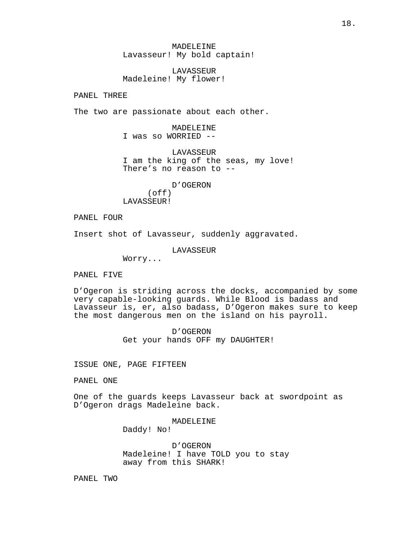MADELEINE Lavasseur! My bold captain!

LAVASSEUR Madeleine! My flower!

PANEL THREE

The two are passionate about each other.

MADELEINE I was so WORRIED --

LAVASSEUR I am the king of the seas, my love! There's no reason to --

D'OGERON (off) LAVASSEUR!

PANEL FOUR

Insert shot of Lavasseur, suddenly aggravated.

LAVASSEUR

Worry...

PANEL FIVE

D'Ogeron is striding across the docks, accompanied by some very capable-looking guards. While Blood is badass and Lavasseur is, er, also badass, D'Ogeron makes sure to keep the most dangerous men on the island on his payroll.

> D'OGERON Get your hands OFF my DAUGHTER!

ISSUE ONE, PAGE FIFTEEN

PANEL ONE

One of the guards keeps Lavasseur back at swordpoint as D'Ogeron drags Madeleine back.

MADELEINE

Daddy! No!

D'OGERON Madeleine! I have TOLD you to stay away from this SHARK!

PANEL TWO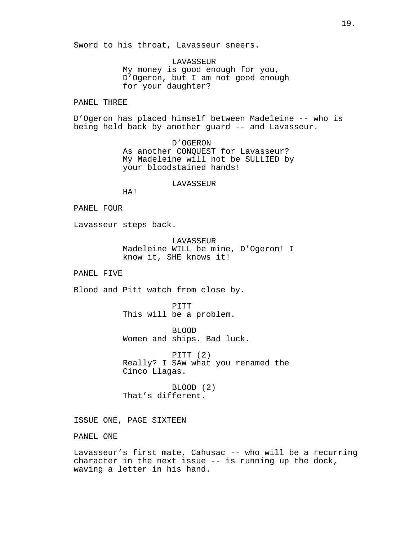Sword to his throat, Lavasseur sneers.

LAVASSEUR My money is good enough for you, D'Ogeron, but I am not good enough for your daughter?

PANEL THREE

D'Ogeron has placed himself between Madeleine -- who is being held back by another guard -- and Lavasseur.

> D'OGERON As another CONQUEST for Lavasseur? My Madeleine will not be SULLIED by your bloodstained hands!

#### LAVASSEUR

HA!

#### PANEL FOUR

Lavasseur steps back.

LAVASSEUR Madeleine WILL be mine, D'Ogeron! I know it, SHE knows it!

PANEL FIVE

Blood and Pitt watch from close by.

PITT This will be a problem.

BLOOD Women and ships. Bad luck.

PITT (2) Really? I SAW what you renamed the Cinco Llagas.

BLOOD (2) That's different.

ISSUE ONE, PAGE SIXTEEN

PANEL ONE

Lavasseur's first mate, Cahusac -- who will be a recurring character in the next issue -- is running up the dock, waving a letter in his hand.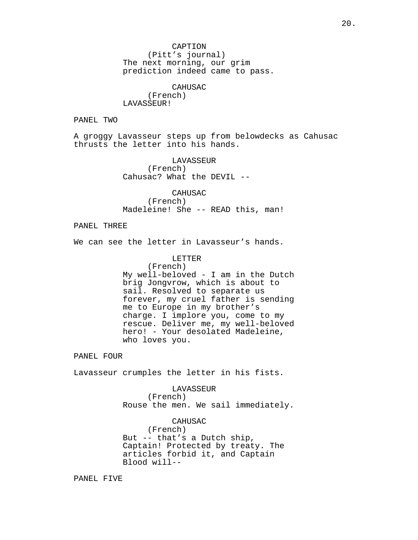CAPTION (Pitt's journal) The next morning, our grim prediction indeed came to pass.

CAHUSAC (French) LAVASSEUR!

PANEL TWO

A groggy Lavasseur steps up from belowdecks as Cahusac thrusts the letter into his hands.

> LAVASSEUR (French) Cahusac? What the DEVIL --

CAHUSAC (French) Madeleine! She -- READ this, man!

PANEL THREE

We can see the letter in Lavasseur's hands.

LETTER

(French) My well-beloved - I am in the Dutch brig Jongvrow, which is about to sail. Resolved to separate us forever, my cruel father is sending me to Europe in my brother's charge. I implore you, come to my rescue. Deliver me, my well-beloved hero! - Your desolated Madeleine, who loves you.

PANEL FOUR

Lavasseur crumples the letter in his fists.

LAVASSEUR (French) Rouse the men. We sail immediately.

CAHUSAC (French) But -- that's a Dutch ship, Captain! Protected by treaty. The articles forbid it, and Captain Blood will--

PANEL FIVE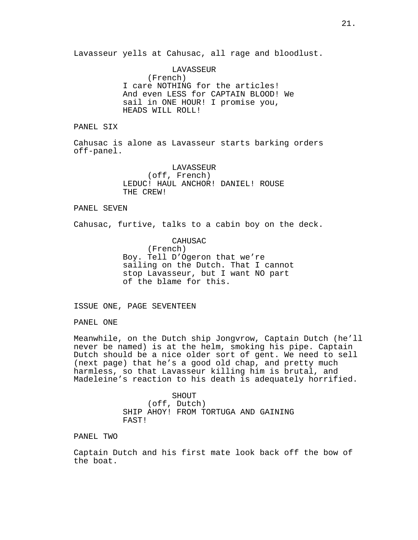Lavasseur yells at Cahusac, all rage and bloodlust.

LAVASSEUR (French) I care NOTHING for the articles! And even LESS for CAPTAIN BLOOD! We sail in ONE HOUR! I promise you, HEADS WILL ROLL!

PANEL SIX

Cahusac is alone as Lavasseur starts barking orders off-panel.

> LAVASSEUR (off, French) LEDUC! HAUL ANCHOR! DANIEL! ROUSE THE CREW!

#### PANEL SEVEN

Cahusac, furtive, talks to a cabin boy on the deck.

CAHUSAC (French) Boy. Tell D'Ogeron that we're sailing on the Dutch. That I cannot stop Lavasseur, but I want NO part of the blame for this.

ISSUE ONE, PAGE SEVENTEEN

PANEL ONE

Meanwhile, on the Dutch ship Jongvrow, Captain Dutch (he'll never be named) is at the helm, smoking his pipe. Captain Dutch should be a nice older sort of gent. We need to sell (next page) that he's a good old chap, and pretty much harmless, so that Lavasseur killing him is brutal, and Madeleine's reaction to his death is adequately horrified.

> SHOUT (off, Dutch) SHIP AHOY! FROM TORTUGA AND GAINING FAST!

PANEL TWO

Captain Dutch and his first mate look back off the bow of the boat.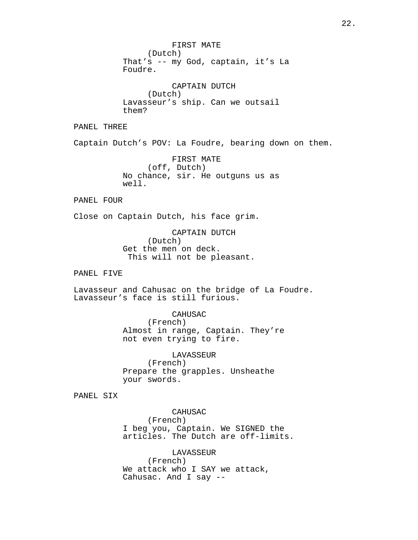FIRST MATE (Dutch) That's -- my God, captain, it's La Foudre. CAPTAIN DUTCH (Dutch) Lavasseur's ship. Can we outsail them? PANEL THREE Captain Dutch's POV: La Foudre, bearing down on them. FIRST MATE (off, Dutch) No chance, sir. He outguns us as well. PANEL FOUR Close on Captain Dutch, his face grim. CAPTAIN DUTCH (Dutch) Get the men on deck. This will not be pleasant. PANEL FIVE Lavasseur and Cahusac on the bridge of La Foudre. Lavasseur's face is still furious. CAHUSAC (French) Almost in range, Captain. They're not even trying to fire. LAVASSEUR (French) Prepare the grapples. Unsheathe your swords. PANEL SIX CAHUSAC (French) I beg you, Captain. We SIGNED the articles. The Dutch are off-limits.

> LAVASSEUR (French) We attack who I SAY we attack, Cahusac. And I say --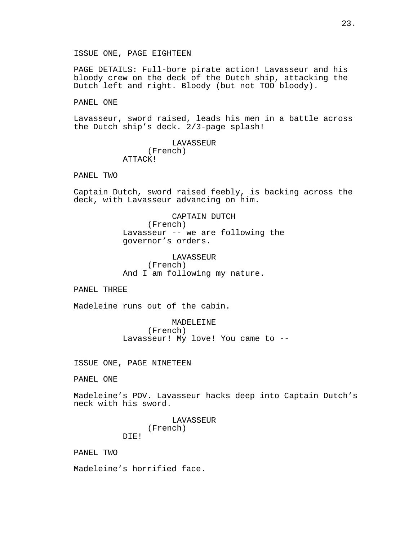ISSUE ONE, PAGE EIGHTEEN

PAGE DETAILS: Full-bore pirate action! Lavasseur and his bloody crew on the deck of the Dutch ship, attacking the Dutch left and right. Bloody (but not TOO bloody).

PANEL ONE

Lavasseur, sword raised, leads his men in a battle across the Dutch ship's deck. 2/3-page splash!

> LAVASSEUR (French) ATTACK!

PANEL TWO

Captain Dutch, sword raised feebly, is backing across the deck, with Lavasseur advancing on him.

> CAPTAIN DUTCH (French) Lavasseur -- we are following the governor's orders.

LAVASSEUR (French) And I am following my nature.

PANEL THREE

Madeleine runs out of the cabin.

MADELEINE (French) Lavasseur! My love! You came to --

ISSUE ONE, PAGE NINETEEN

PANEL ONE

Madeleine's POV. Lavasseur hacks deep into Captain Dutch's neck with his sword.

> LAVASSEUR (French) DIE!

PANEL TWO

Madeleine's horrified face.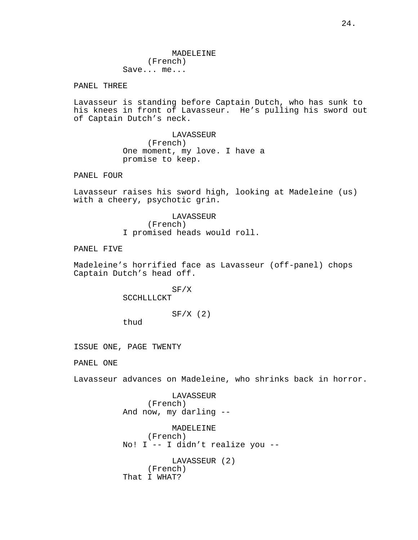PANEL THREE

Lavasseur is standing before Captain Dutch, who has sunk to his knees in front of Lavasseur. He's pulling his sword out of Captain Dutch's neck.

> LAVASSEUR (French) One moment, my love. I have a promise to keep.

PANEL FOUR

Lavasseur raises his sword high, looking at Madeleine (us) with a cheery, psychotic grin.

> LAVASSEUR (French) I promised heads would roll.

PANEL FIVE

Madeleine's horrified face as Lavasseur (off-panel) chops Captain Dutch's head off.

SF/X

**SCCHLLLCKT** 

 $SF/X$  (2)

thud

ISSUE ONE, PAGE TWENTY

PANEL ONE

Lavasseur advances on Madeleine, who shrinks back in horror.

LAVASSEUR (French) And now, my darling --

MADELEINE (French) No! I -- I didn't realize you -- LAVASSEUR (2) (French) That I WHAT?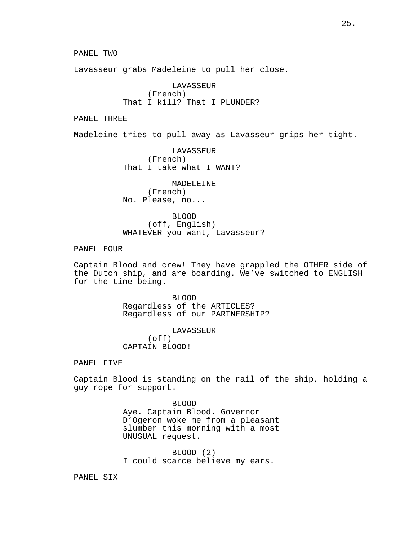PANEL TWO

Lavasseur grabs Madeleine to pull her close.

LAVASSEUR (French) That I kill? That I PLUNDER?

PANEL THREE

Madeleine tries to pull away as Lavasseur grips her tight.

LAVASSEUR (French) That I take what I WANT?

MADELEINE (French) No. Please, no...

BLOOD (off, English) WHATEVER you want, Lavasseur?

PANEL FOUR

Captain Blood and crew! They have grappled the OTHER side of the Dutch ship, and are boarding. We've switched to ENGLISH for the time being.

> BLOOD Regardless of the ARTICLES? Regardless of our PARTNERSHIP?

LAVASSEUR (off) CAPTAIN BLOOD!

PANEL FIVE

Captain Blood is standing on the rail of the ship, holding a guy rope for support.

> BLOOD Aye. Captain Blood. Governor D'Ogeron woke me from a pleasant slumber this morning with a most UNUSUAL request.

BLOOD (2) I could scarce believe my ears.

PANEL SIX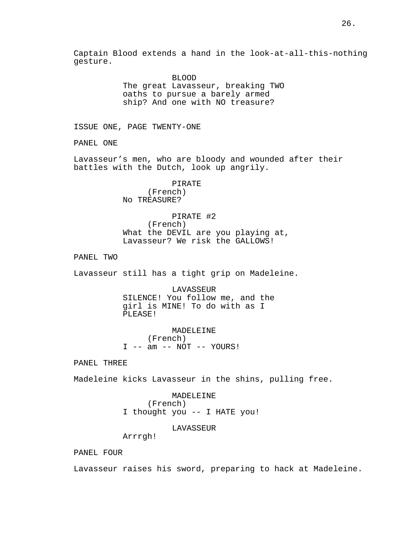Captain Blood extends a hand in the look-at-all-this-nothing gesture.

> BLOOD The great Lavasseur, breaking TWO oaths to pursue a barely armed ship? And one with NO treasure?

ISSUE ONE, PAGE TWENTY-ONE

PANEL ONE

Lavasseur's men, who are bloody and wounded after their battles with the Dutch, look up angrily.

> PIRATE (French) No TREASURE?

### PIRATE #2

(French) What the DEVIL are you playing at, Lavasseur? We risk the GALLOWS!

PANEL TWO

Lavasseur still has a tight grip on Madeleine.

LAVASSEUR SILENCE! You follow me, and the girl is MINE! To do with as I PLEASE!

MADELEINE (French)  $I$  -- am -- NOT -- YOURS!

PANEL THREE

Madeleine kicks Lavasseur in the shins, pulling free.

# MADELEINE (French) I thought you -- I HATE you!

LAVASSEUR

Arrrgh!

PANEL FOUR

Lavasseur raises his sword, preparing to hack at Madeleine.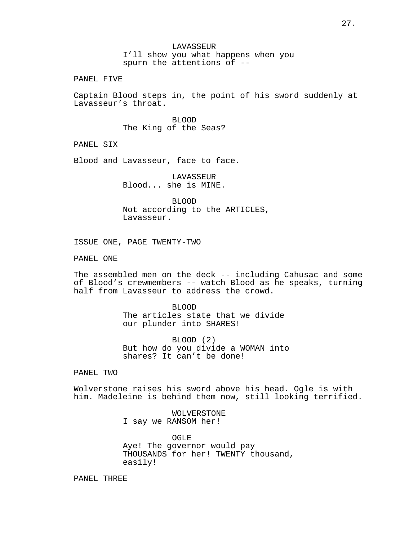PANEL FIVE

Captain Blood steps in, the point of his sword suddenly at Lavasseur's throat.

> BLOOD The King of the Seas?

PANEL SIX

Blood and Lavasseur, face to face.

LAVASSEUR Blood... she is MINE.

BLOOD Not according to the ARTICLES, Lavasseur.

ISSUE ONE, PAGE TWENTY-TWO

PANEL ONE

The assembled men on the deck -- including Cahusac and some of Blood's crewmembers -- watch Blood as he speaks, turning half from Lavasseur to address the crowd.

> BLOOD The articles state that we divide our plunder into SHARES!

BLOOD (2) But how do you divide a WOMAN into shares? It can't be done!

PANEL TWO

Wolverstone raises his sword above his head. Ogle is with him. Madeleine is behind them now, still looking terrified.

> WOLVERSTONE I say we RANSOM her!

OGLE Aye! The governor would pay THOUSANDS for her! TWENTY thousand, easily!

PANEL THREE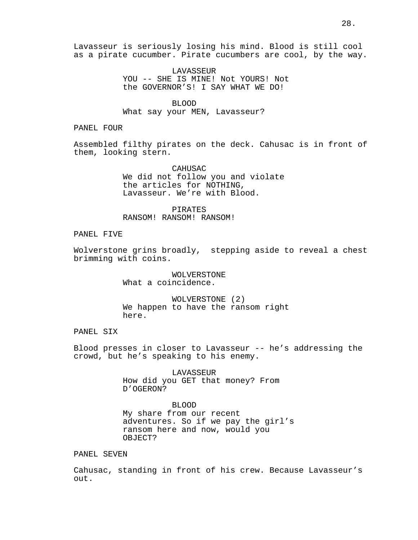LAVASSEUR YOU -- SHE IS MINE! Not YOURS! Not the GOVERNOR'S! I SAY WHAT WE DO!

BLOOD What say your MEN, Lavasseur?

PANEL FOUR

Assembled filthy pirates on the deck. Cahusac is in front of them, looking stern.

> CAHUSAC We did not follow you and violate the articles for NOTHING, Lavasseur. We're with Blood.

PIRATES RANSOM! RANSOM! RANSOM!

# PANEL FIVE

Wolverstone grins broadly, stepping aside to reveal a chest brimming with coins.

> WOLVERSTONE What a coincidence.

WOLVERSTONE (2) We happen to have the ransom right here.

# PANEL SIX

Blood presses in closer to Lavasseur -- he's addressing the crowd, but he's speaking to his enemy.

> LAVASSEUR How did you GET that money? From D'OGERON?

> > BLOOD

My share from our recent adventures. So if we pay the girl's ransom here and now, would you OBJECT?

# PANEL SEVEN

Cahusac, standing in front of his crew. Because Lavasseur's out.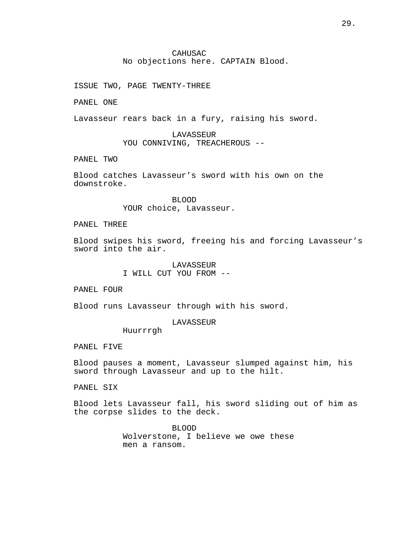# CAHUSAC No objections here. CAPTAIN Blood.

ISSUE TWO, PAGE TWENTY-THREE

PANEL ONE

Lavasseur rears back in a fury, raising his sword.

LAVASSEUR YOU CONNIVING, TREACHEROUS --

PANEL TWO

Blood catches Lavasseur's sword with his own on the downstroke.

> BLOOD YOUR choice, Lavasseur.

PANEL THREE

Blood swipes his sword, freeing his and forcing Lavasseur's sword into the air.

> LAVASSEUR I WILL CUT YOU FROM --

PANEL FOUR

Blood runs Lavasseur through with his sword.

## LAVASSEUR

Huurrrgh

PANEL FIVE

Blood pauses a moment, Lavasseur slumped against him, his sword through Lavasseur and up to the hilt.

PANEL SIX

Blood lets Lavasseur fall, his sword sliding out of him as the corpse slides to the deck.

> BLOOD Wolverstone, I believe we owe these men a ransom.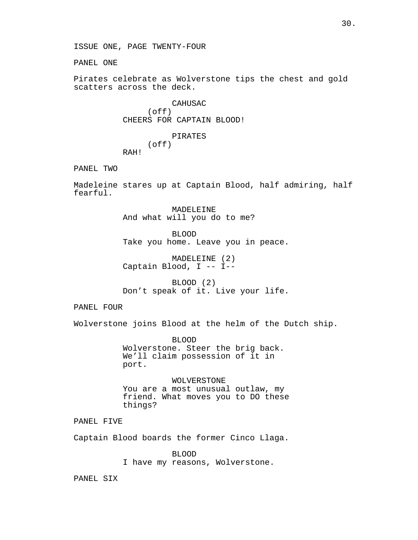PANEL ONE

Pirates celebrate as Wolverstone tips the chest and gold scatters across the deck.

> CAHUSAC (off) CHEERS FOR CAPTAIN BLOOD!

PIRATES (off) RAH!

PANEL TWO

Madeleine stares up at Captain Blood, half admiring, half fearful.

> MADELEINE And what will you do to me?

BLOOD Take you home. Leave you in peace.

MADELEINE (2) Captain Blood, I -- I--

BLOOD (2) Don't speak of it. Live your life.

PANEL FOUR

Wolverstone joins Blood at the helm of the Dutch ship.

BLOOD Wolverstone. Steer the brig back. We'll claim possession of it in port.

WOLVERSTONE You are a most unusual outlaw, my friend. What moves you to DO these things?

PANEL FIVE

Captain Blood boards the former Cinco Llaga.

BLOOD I have my reasons, Wolverstone.

PANEL SIX